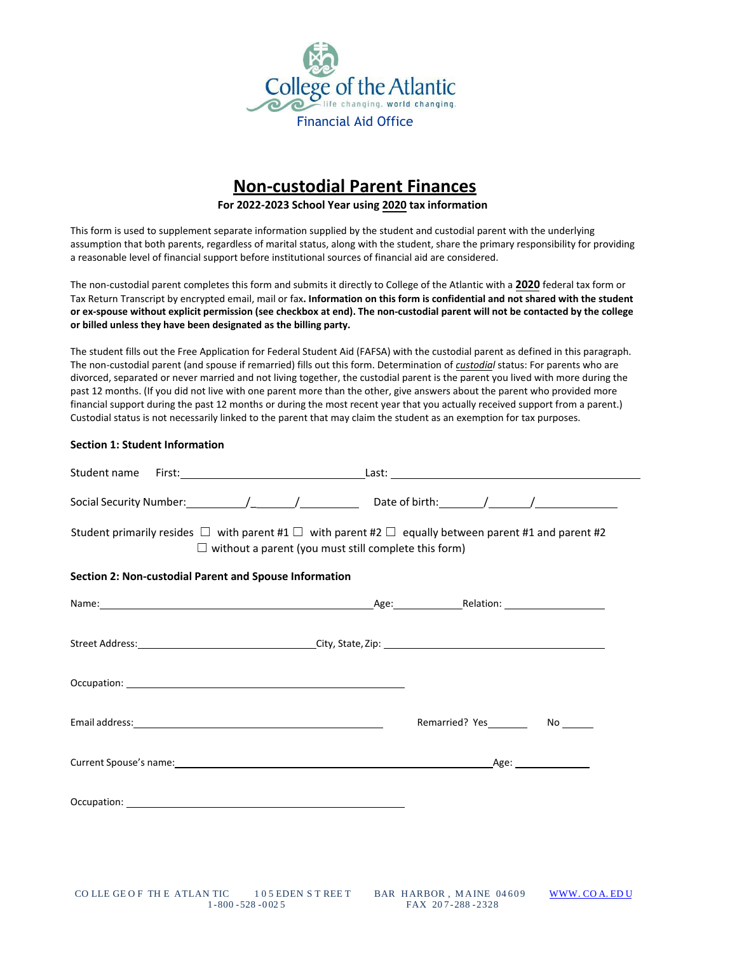

# **Non-custodial Parent Finances**

#### **For 2022-2023 School Year using 2020 tax information**

This form is used to supplement separate information supplied by the student and custodial parent with the underlying assumption that both parents, regardless of marital status, along with the student, share the primary responsibility for providing a reasonable level of financial support before institutional sources of financial aid are considered.

The non-custodial parent completes this form and submits it directly to College of the Atlantic with a **2020** federal tax form or Tax Return Transcript by encrypted email, mail or fax**. Information on this form is confidential and not shared with the student or ex-spouse without explicit permission (see checkbox at end). The non-custodial parent will not be contacted by the college or billed unless they have been designated as the billing party.** 

The student fills out the Free Application for Federal Student Aid (FAFSA) with the custodial parent as defined in this paragraph. The non-custodial parent (and spouse if remarried) fills out this form. Determination of *custodial* status: For parents who are divorced, separated or never married and not living together, the custodial parent is the parent you lived with more during the past 12 months. (If you did not live with one parent more than the other, give answers about the parent who provided more financial support during the past 12 months or during the most recent year that you actually received support from a parent.) Custodial status is not necessarily linked to the parent that may claim the student as an exemption for tax purposes.

#### **Section 1: Student Information**

| Student primarily resides $\Box$ with parent #1 $\Box$ with parent #2 $\Box$ equally between parent #1 and parent #2<br>$\Box$ without a parent (you must still complete this form)                                            |                                    |  |
|--------------------------------------------------------------------------------------------------------------------------------------------------------------------------------------------------------------------------------|------------------------------------|--|
| Section 2: Non-custodial Parent and Spouse Information                                                                                                                                                                         |                                    |  |
|                                                                                                                                                                                                                                |                                    |  |
|                                                                                                                                                                                                                                |                                    |  |
|                                                                                                                                                                                                                                |                                    |  |
|                                                                                                                                                                                                                                | Remarried? Yes__________ No ______ |  |
| Current Spouse's name: 1990 and 2009 and 2009 and 2009 and 2009 and 2009 and 2009 and 2009 and 2009 and 2009 and 2009 and 2009 and 2009 and 2009 and 2009 and 2009 and 2009 and 2009 and 2009 and 2009 and 2009 and 2009 and 2 |                                    |  |
|                                                                                                                                                                                                                                |                                    |  |
|                                                                                                                                                                                                                                |                                    |  |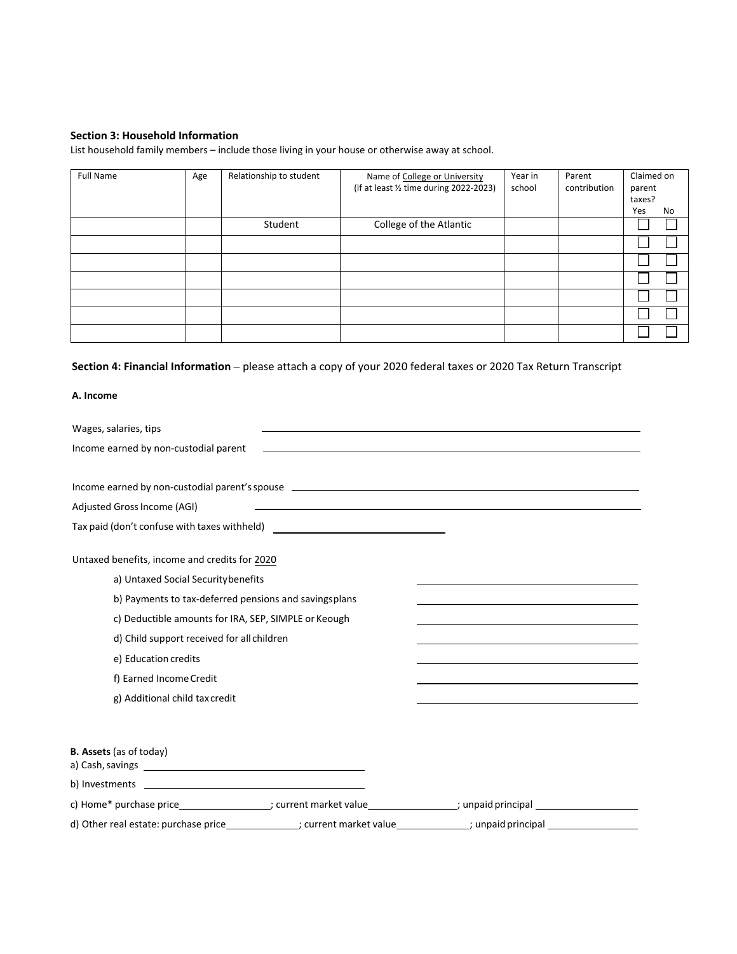## **Section 3: Household Information**

List household family members – include those living in your house or otherwise away at school.

| <b>Full Name</b> | Age | Relationship to student | Name of College or University<br>(if at least 1/2 time during 2022-2023) | Year in<br>school | Parent<br>contribution | Claimed on<br>parent<br>taxes? |    |
|------------------|-----|-------------------------|--------------------------------------------------------------------------|-------------------|------------------------|--------------------------------|----|
|                  |     |                         |                                                                          |                   |                        | Yes                            | No |
|                  |     | Student                 | College of the Atlantic                                                  |                   |                        |                                |    |
|                  |     |                         |                                                                          |                   |                        |                                |    |
|                  |     |                         |                                                                          |                   |                        |                                |    |
|                  |     |                         |                                                                          |                   |                        |                                |    |
|                  |     |                         |                                                                          |                   |                        |                                |    |
|                  |     |                         |                                                                          |                   |                        |                                |    |
|                  |     |                         |                                                                          |                   |                        |                                |    |

# **Section 4: Financial Information** – please attach a copy of your 2020 federal taxes or 2020 Tax Return Transcript

### **A. Income**

| Wages, salaries, tips                                                                                                  | the control of the control of the control of the control of the control of the control of |                                                                                                                  |  |
|------------------------------------------------------------------------------------------------------------------------|-------------------------------------------------------------------------------------------|------------------------------------------------------------------------------------------------------------------|--|
| Income earned by non-custodial parent                                                                                  |                                                                                           | and the control of the control of the control of the control of the control of the control of the control of the |  |
|                                                                                                                        |                                                                                           |                                                                                                                  |  |
|                                                                                                                        |                                                                                           |                                                                                                                  |  |
| Adjusted Gross Income (AGI)                                                                                            |                                                                                           |                                                                                                                  |  |
| Tax paid (don't confuse with taxes withheld) ___________________________________                                       |                                                                                           |                                                                                                                  |  |
| Untaxed benefits, income and credits for 2020                                                                          |                                                                                           |                                                                                                                  |  |
| a) Untaxed Social Security benefits                                                                                    |                                                                                           |                                                                                                                  |  |
| b) Payments to tax-deferred pensions and savingsplans                                                                  |                                                                                           |                                                                                                                  |  |
| c) Deductible amounts for IRA, SEP, SIMPLE or Keough                                                                   |                                                                                           |                                                                                                                  |  |
| d) Child support received for all children                                                                             |                                                                                           |                                                                                                                  |  |
| e) Education credits                                                                                                   |                                                                                           |                                                                                                                  |  |
| f) Earned Income Credit                                                                                                |                                                                                           |                                                                                                                  |  |
| g) Additional child tax credit                                                                                         |                                                                                           |                                                                                                                  |  |
|                                                                                                                        |                                                                                           |                                                                                                                  |  |
| <b>B. Assets</b> (as of today)                                                                                         |                                                                                           |                                                                                                                  |  |
|                                                                                                                        |                                                                                           |                                                                                                                  |  |
| c) Home* purchase price___________________; current market value________________; unpaid principal _________________   |                                                                                           |                                                                                                                  |  |
| d) Other real estate: purchase price ________________; current market value ______________; unpaid principal _________ |                                                                                           |                                                                                                                  |  |